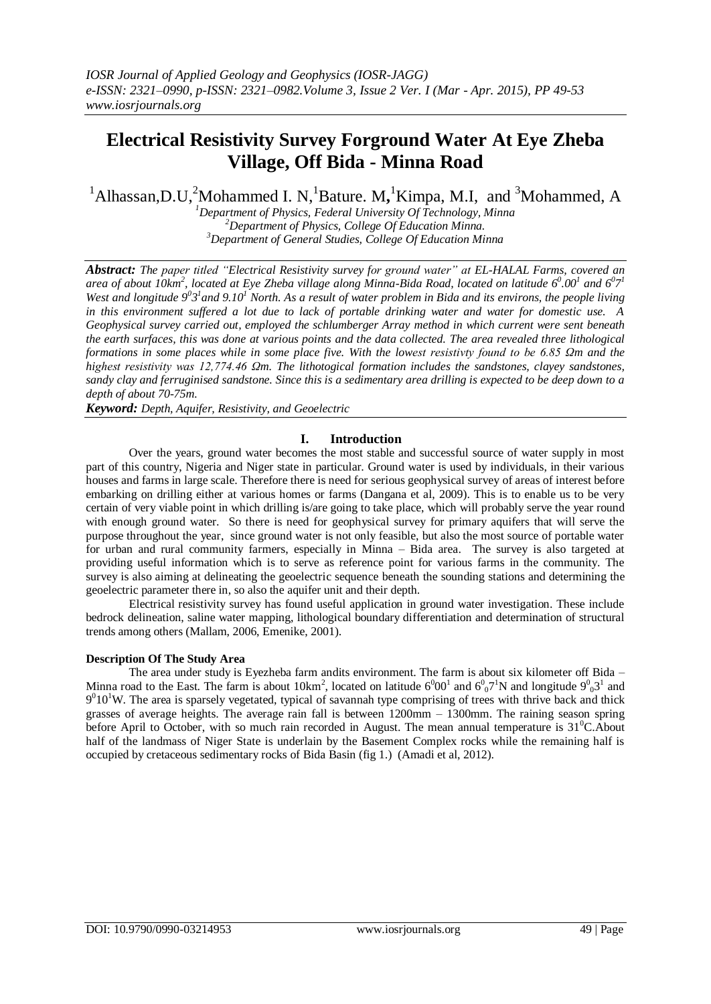# **Electrical Resistivity Survey Forground Water At Eye Zheba Village, Off Bida - Minna Road**

<sup>1</sup>Alhassan, D.U,<sup>2</sup>Mohammed I. N,<sup>1</sup>Bature. M,<sup>1</sup>Kimpa, M.I, and <sup>3</sup>Mohammed, A

*<sup>1</sup>Department of Physics, Federal University Of Technology, Minna <sup>2</sup>Department of Physics, College Of Education Minna. <sup>3</sup>Department of General Studies, College Of Education Minna*

*Abstract: The paper titled "Electrical Resistivity survey for ground water" at EL-HALAL Farms, covered an*  area of about  $10km^2$ , located at Eye Zheba village along Minna-Bida Road, located on latitude  $6^0.00^1$  and  $6^07^1$ *West and longitude*  $9^03^1$  and  $9.10^1$  *North. As a result of water problem in Bida and its environs, the people living in this environment suffered a lot due to lack of portable drinking water and water for domestic use. A Geophysical survey carried out, employed the schlumberger Array method in which current were sent beneath the earth surfaces, this was done at various points and the data collected. The area revealed three lithological formations in some places while in some place five. With the lowest resistivty found to be 6.85 Ωm and the highest resistivity was 12,774.46 Ωm. The lithotogical formation includes the sandstones, clayey sandstones, sandy clay and ferruginised sandstone. Since this is a sedimentary area drilling is expected to be deep down to a depth of about 70-75m.*

*Keyword: Depth, Aquifer, Resistivity, and Geoelectric*

#### **I. Introduction**

Over the years, ground water becomes the most stable and successful source of water supply in most part of this country, Nigeria and Niger state in particular. Ground water is used by individuals, in their various houses and farms in large scale. Therefore there is need for serious geophysical survey of areas of interest before embarking on drilling either at various homes or farms (Dangana et al, 2009). This is to enable us to be very certain of very viable point in which drilling is/are going to take place, which will probably serve the year round with enough ground water. So there is need for geophysical survey for primary aquifers that will serve the purpose throughout the year, since ground water is not only feasible, but also the most source of portable water for urban and rural community farmers, especially in Minna – Bida area. The survey is also targeted at providing useful information which is to serve as reference point for various farms in the community. The survey is also aiming at delineating the geoelectric sequence beneath the sounding stations and determining the geoelectric parameter there in, so also the aquifer unit and their depth.

Electrical resistivity survey has found useful application in ground water investigation. These include bedrock delineation, saline water mapping, lithological boundary differentiation and determination of structural trends among others (Mallam, 2006, Emenike, 2001).

#### **Description Of The Study Area**

The area under study is Eyezheba farm andits environment. The farm is about six kilometer off Bida – Minna road to the East. The farm is about 10km<sup>2</sup>, located on latitude  $6^000^1$  and  $6^007^1$ N and longitude  $9^003^1$  and  $9<sup>0</sup>10<sup>1</sup>W$ . The area is sparsely vegetated, typical of savannah type comprising of trees with thrive back and thick grasses of average heights. The average rain fall is between 1200mm – 1300mm. The raining season spring before April to October, with so much rain recorded in August. The mean annual temperature is 31<sup>0</sup>C. About half of the landmass of Niger State is underlain by the Basement Complex rocks while the remaining half is occupied by cretaceous sedimentary rocks of Bida Basin (fig 1.) (Amadi et al, 2012).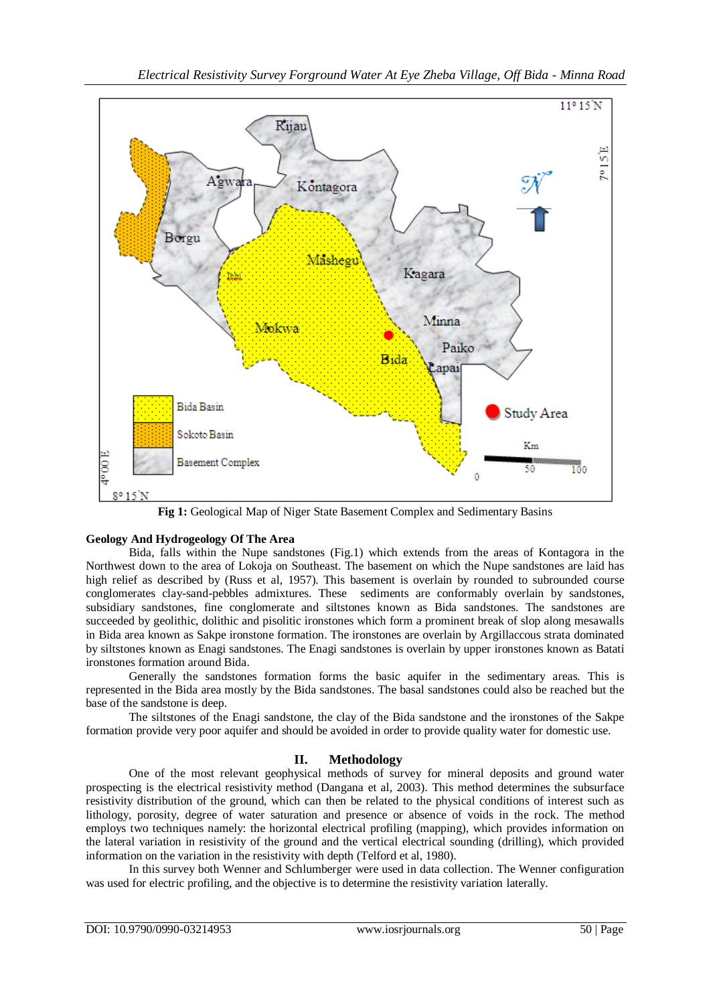

**Fig 1:** Geological Map of Niger State Basement Complex and Sedimentary Basins

# **Geology And Hydrogeology Of The Area**

Bida, falls within the Nupe sandstones (Fig.1) which extends from the areas of Kontagora in the Northwest down to the area of Lokoja on Southeast. The basement on which the Nupe sandstones are laid has high relief as described by (Russ et al, 1957). This basement is overlain by rounded to subrounded course conglomerates clay-sand-pebbles admixtures. These sediments are conformably overlain by sandstones, subsidiary sandstones, fine conglomerate and siltstones known as Bida sandstones. The sandstones are succeeded by geolithic, dolithic and pisolitic ironstones which form a prominent break of slop along mesawalls in Bida area known as Sakpe ironstone formation. The ironstones are overlain by Argillaccous strata dominated by siltstones known as Enagi sandstones. The Enagi sandstones is overlain by upper ironstones known as Batati ironstones formation around Bida.

Generally the sandstones formation forms the basic aquifer in the sedimentary areas. This is represented in the Bida area mostly by the Bida sandstones. The basal sandstones could also be reached but the base of the sandstone is deep.

The siltstones of the Enagi sandstone, the clay of the Bida sandstone and the ironstones of the Sakpe formation provide very poor aquifer and should be avoided in order to provide quality water for domestic use.

# **II. Methodology**

One of the most relevant geophysical methods of survey for mineral deposits and ground water prospecting is the electrical resistivity method (Dangana et al, 2003). This method determines the subsurface resistivity distribution of the ground, which can then be related to the physical conditions of interest such as lithology, porosity, degree of water saturation and presence or absence of voids in the rock. The method employs two techniques namely: the horizontal electrical profiling (mapping), which provides information on the lateral variation in resistivity of the ground and the vertical electrical sounding (drilling), which provided information on the variation in the resistivity with depth (Telford et al, 1980).

In this survey both Wenner and Schlumberger were used in data collection. The Wenner configuration was used for electric profiling, and the objective is to determine the resistivity variation laterally.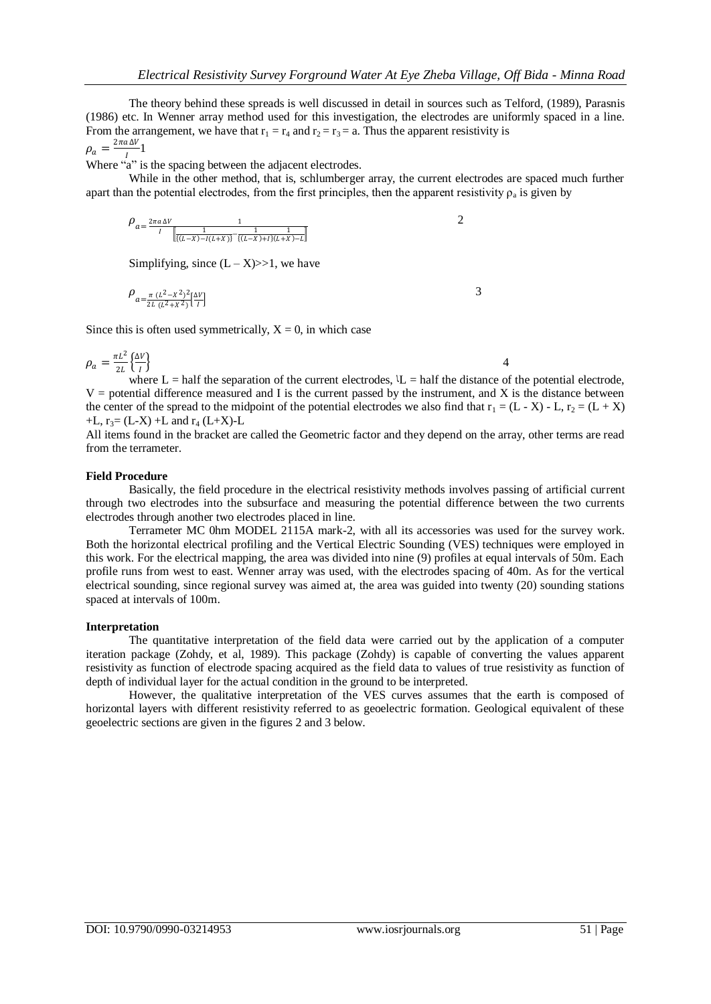The theory behind these spreads is well discussed in detail in sources such as Telford, (1989), Parasnis (1986) etc. In Wenner array method used for this investigation, the electrodes are uniformly spaced in a line. From the arrangement, we have that  $r_1 = r_4$  and  $r_2 = r_3 = a$ . Thus the apparent resistivity is  $\rho_a = \frac{2\pi a \Delta V}{I}$  $\frac{1}{I}$ <sup>1</sup>

Where "a" is the spacing between the adjacent electrodes.

While in the other method, that is, schlumberger array, the current electrodes are spaced much further apart than the potential electrodes, from the first principles, then the apparent resistivity  $\rho_a$  is given by

$$
\rho_{a=\frac{2\pi a \Delta V}{I} \frac{1}{\left[\left[(L-X)-I(L+X)\right] - \frac{1}{\left[(L-X)+I\right](L+X)-L\right]}}}
$$

Simplifying, since  $(L - X) >> 1$ , we have

$$
\rho_{a=\frac{\pi (L^2 - X^2)^2}{2L (L^2 + X^2)} \left[\frac{\Delta V}{I}\right]}
$$
 3

Since this is often used symmetrically,  $X = 0$ , in which case

$$
\rho_a = \frac{\pi L^2}{2L} \left\{ \frac{\Delta V}{l} \right\}
$$
 4

where  $L = \text{half the separation of the current electrodes}, \, L = \text{half the distance of the potential electrode},$  $V =$  potential difference measured and I is the current passed by the instrument, and X is the distance between the center of the spread to the midpoint of the potential electrodes we also find that  $r_1 = (L - X) - L$ ,  $r_2 = (L + X)$ +L,  $r_3 = (L-X) + L$  and  $r_4 (L+X) - L$ 

All items found in the bracket are called the Geometric factor and they depend on the array, other terms are read from the terrameter.

#### **Field Procedure**

Basically, the field procedure in the electrical resistivity methods involves passing of artificial current through two electrodes into the subsurface and measuring the potential difference between the two currents electrodes through another two electrodes placed in line.

Terrameter MC 0hm MODEL 2115A mark-2, with all its accessories was used for the survey work. Both the horizontal electrical profiling and the Vertical Electric Sounding (VES) techniques were employed in this work. For the electrical mapping, the area was divided into nine (9) profiles at equal intervals of 50m. Each profile runs from west to east. Wenner array was used, with the electrodes spacing of 40m. As for the vertical electrical sounding, since regional survey was aimed at, the area was guided into twenty (20) sounding stations spaced at intervals of 100m.

#### **Interpretation**

The quantitative interpretation of the field data were carried out by the application of a computer iteration package (Zohdy, et al, 1989). This package (Zohdy) is capable of converting the values apparent resistivity as function of electrode spacing acquired as the field data to values of true resistivity as function of depth of individual layer for the actual condition in the ground to be interpreted.

However, the qualitative interpretation of the VES curves assumes that the earth is composed of horizontal layers with different resistivity referred to as geoelectric formation. Geological equivalent of these geoelectric sections are given in the figures 2 and 3 below.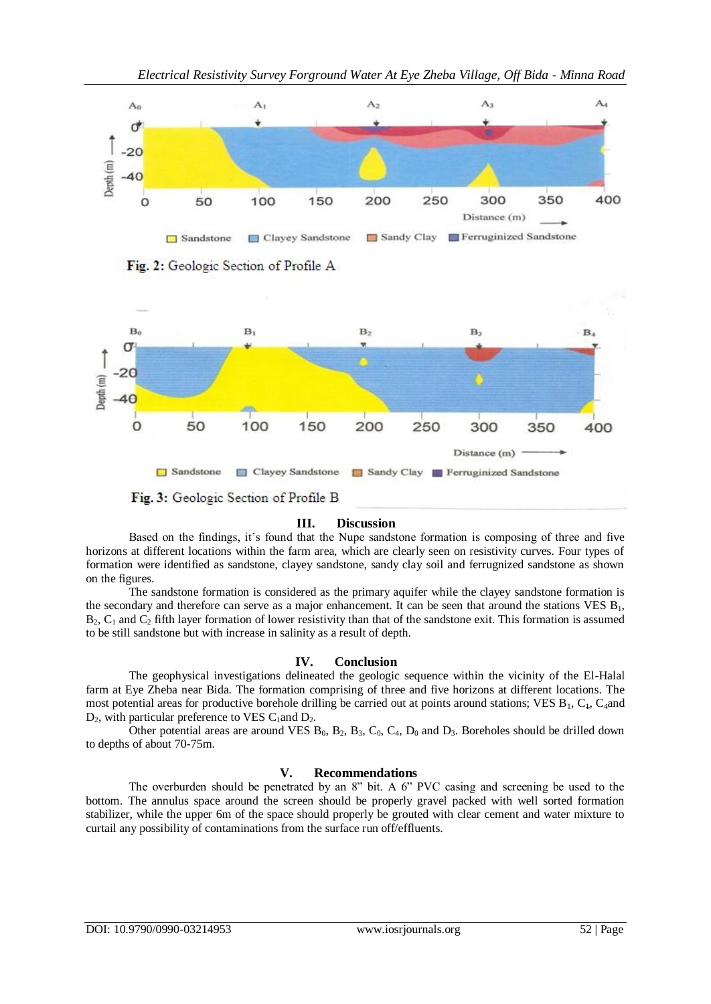

*Electrical Resistivity Survey Forground Water At Eye Zheba Village, Off Bida - Minna Road*

Fig. 2: Geologic Section of Profile A



#### **III. Discussion**

Based on the findings, it's found that the Nupe sandstone formation is composing of three and five horizons at different locations within the farm area, which are clearly seen on resistivity curves. Four types of formation were identified as sandstone, clayey sandstone, sandy clay soil and ferrugnized sandstone as shown on the figures.

The sandstone formation is considered as the primary aquifer while the clayey sandstone formation is the secondary and therefore can serve as a major enhancement. It can be seen that around the stations VES  $B_1$ ,  $B_2$ ,  $C_1$  and  $C_2$  fifth layer formation of lower resistivity than that of the sandstone exit. This formation is assumed to be still sandstone but with increase in salinity as a result of depth.

# **IV. Conclusion**

The geophysical investigations delineated the geologic sequence within the vicinity of the El-Halal farm at Eye Zheba near Bida. The formation comprising of three and five horizons at different locations. The most potential areas for productive borehole drilling be carried out at points around stations; VES  $B_1$ ,  $C_4$ ,  $C_4$  and  $D_2$ , with particular preference to VES C<sub>1</sub>and  $D_2$ .

Other potential areas are around VES  $B_0$ ,  $B_2$ ,  $B_3$ ,  $C_0$ ,  $C_4$ ,  $D_0$  and  $D_3$ . Boreholes should be drilled down to depths of about 70-75m.

# **V. Recommendations**

The overburden should be penetrated by an 8" bit. A 6" PVC casing and screening be used to the bottom. The annulus space around the screen should be properly gravel packed with well sorted formation stabilizer, while the upper 6m of the space should properly be grouted with clear cement and water mixture to curtail any possibility of contaminations from the surface run off/effluents.